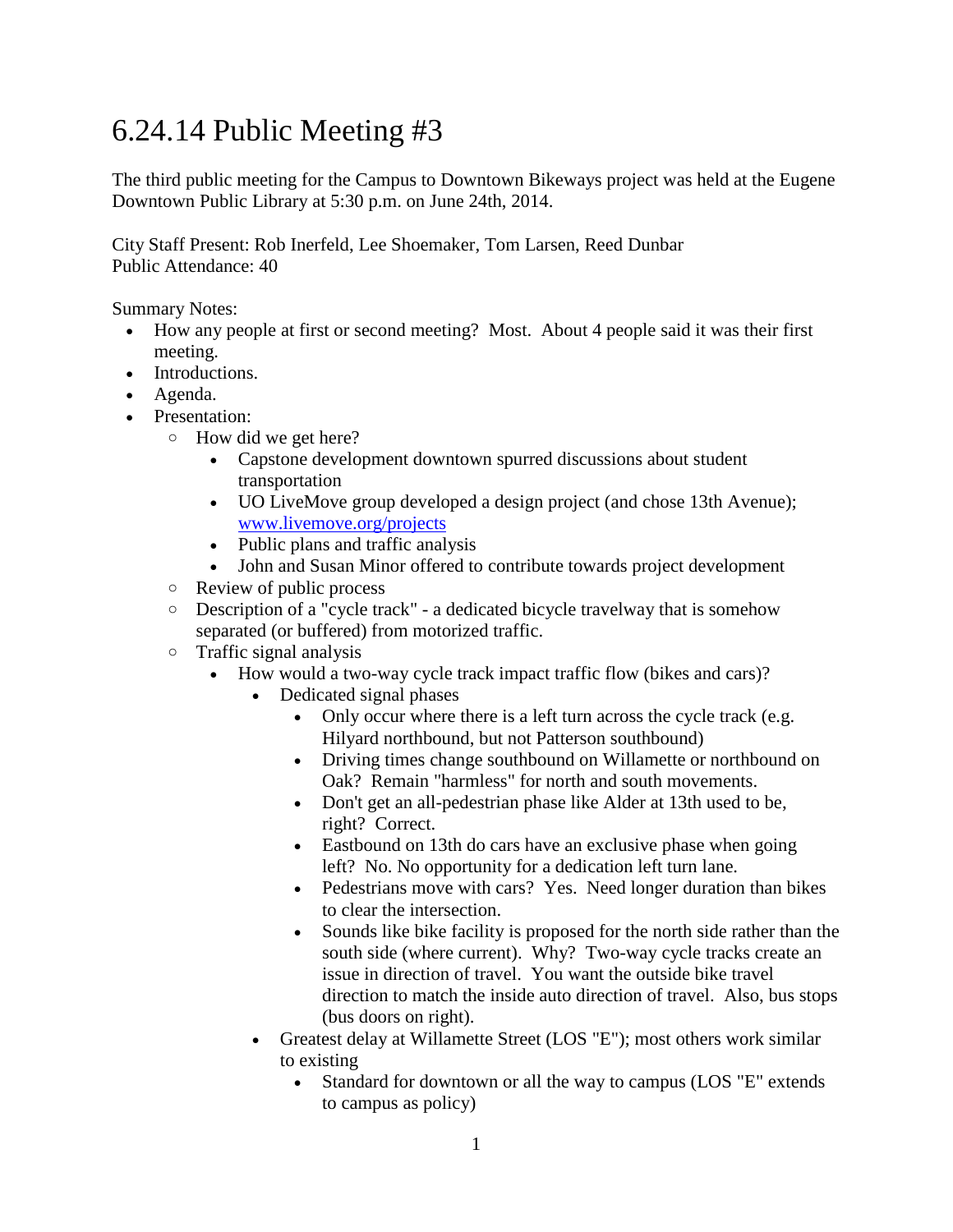## 6.24.14 Public Meeting #3

The third public meeting for the Campus to Downtown Bikeways project was held at the Eugene Downtown Public Library at 5:30 p.m. on June 24th, 2014.

City Staff Present: Rob Inerfeld, Lee Shoemaker, Tom Larsen, Reed Dunbar Public Attendance: 40

Summary Notes:

- How any people at first or second meeting? Most. About 4 people said it was their first meeting.
- Introductions.
- Agenda.
- Presentation:
	- o How did we get here?
		- Capstone development downtown spurred discussions about student transportation
		- UO LiveMove group developed a design project (and chose 13th Avenue); [www.livemove.org/projects](http://www.livemove.org/projects)
		- Public plans and traffic analysis
		- John and Susan Minor offered to contribute towards project development
	- o Review of public process
	- o Description of a "cycle track" a dedicated bicycle travelway that is somehow separated (or buffered) from motorized traffic.
	- o Traffic signal analysis
		- How would a two-way cycle track impact traffic flow (bikes and cars)?
			- Dedicated signal phases
				- Only occur where there is a left turn across the cycle track (e.g. Hilyard northbound, but not Patterson southbound)
				- Driving times change southbound on Willamette or northbound on Oak? Remain "harmless" for north and south movements.
				- Don't get an all-pedestrian phase like Alder at 13th used to be, right? Correct.
				- Eastbound on 13th do cars have an exclusive phase when going left? No. No opportunity for a dedication left turn lane.
				- Pedestrians move with cars? Yes. Need longer duration than bikes to clear the intersection.
				- Sounds like bike facility is proposed for the north side rather than the south side (where current). Why? Two-way cycle tracks create an issue in direction of travel. You want the outside bike travel direction to match the inside auto direction of travel. Also, bus stops (bus doors on right).
			- Greatest delay at Willamette Street (LOS "E"); most others work similar to existing
				- Standard for downtown or all the way to campus (LOS "E" extends to campus as policy)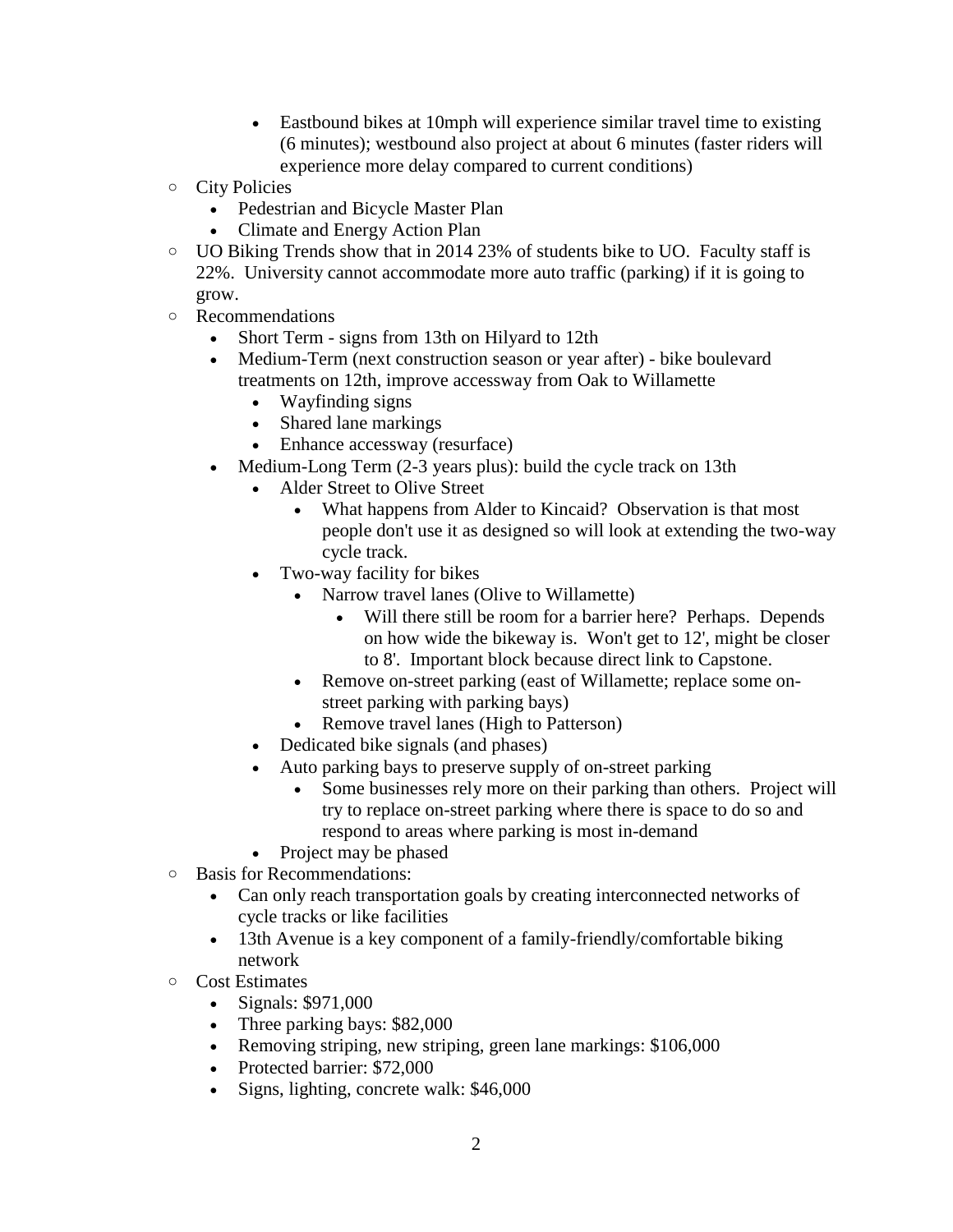- Eastbound bikes at 10mph will experience similar travel time to existing (6 minutes); westbound also project at about 6 minutes (faster riders will experience more delay compared to current conditions)
- o City Policies
	- Pedestrian and Bicycle Master Plan
	- Climate and Energy Action Plan
- o UO Biking Trends show that in 2014 23% of students bike to UO. Faculty staff is 22%. University cannot accommodate more auto traffic (parking) if it is going to grow.
- o Recommendations
	- Short Term signs from 13th on Hilyard to 12th
	- Medium-Term (next construction season or year after) bike boulevard treatments on 12th, improve accessway from Oak to Willamette
		- Wayfinding signs
		- Shared lane markings
		- Enhance accessway (resurface)
	- Medium-Long Term (2-3 years plus): build the cycle track on 13th
		- Alder Street to Olive Street
			- What happens from Alder to Kincaid? Observation is that most people don't use it as designed so will look at extending the two-way cycle track.
		- Two-way facility for bikes
			- Narrow travel lanes (Olive to Willamette)
				- Will there still be room for a barrier here? Perhaps. Depends on how wide the bikeway is. Won't get to 12', might be closer to 8'. Important block because direct link to Capstone.
			- Remove on-street parking (east of Willamette; replace some onstreet parking with parking bays)
			- Remove travel lanes (High to Patterson)
		- Dedicated bike signals (and phases)
		- Auto parking bays to preserve supply of on-street parking
			- Some businesses rely more on their parking than others. Project will try to replace on-street parking where there is space to do so and respond to areas where parking is most in-demand
		- Project may be phased
- o Basis for Recommendations:
	- Can only reach transportation goals by creating interconnected networks of cycle tracks or like facilities
	- 13th Avenue is a key component of a family-friendly/comfortable biking network
- o Cost Estimates
	- $\bullet$  Signals: \$971,000
	- Three parking bays: \$82,000
	- Removing striping, new striping, green lane markings: \$106,000
	- Protected barrier: \$72,000
	- Signs, lighting, concrete walk: \$46,000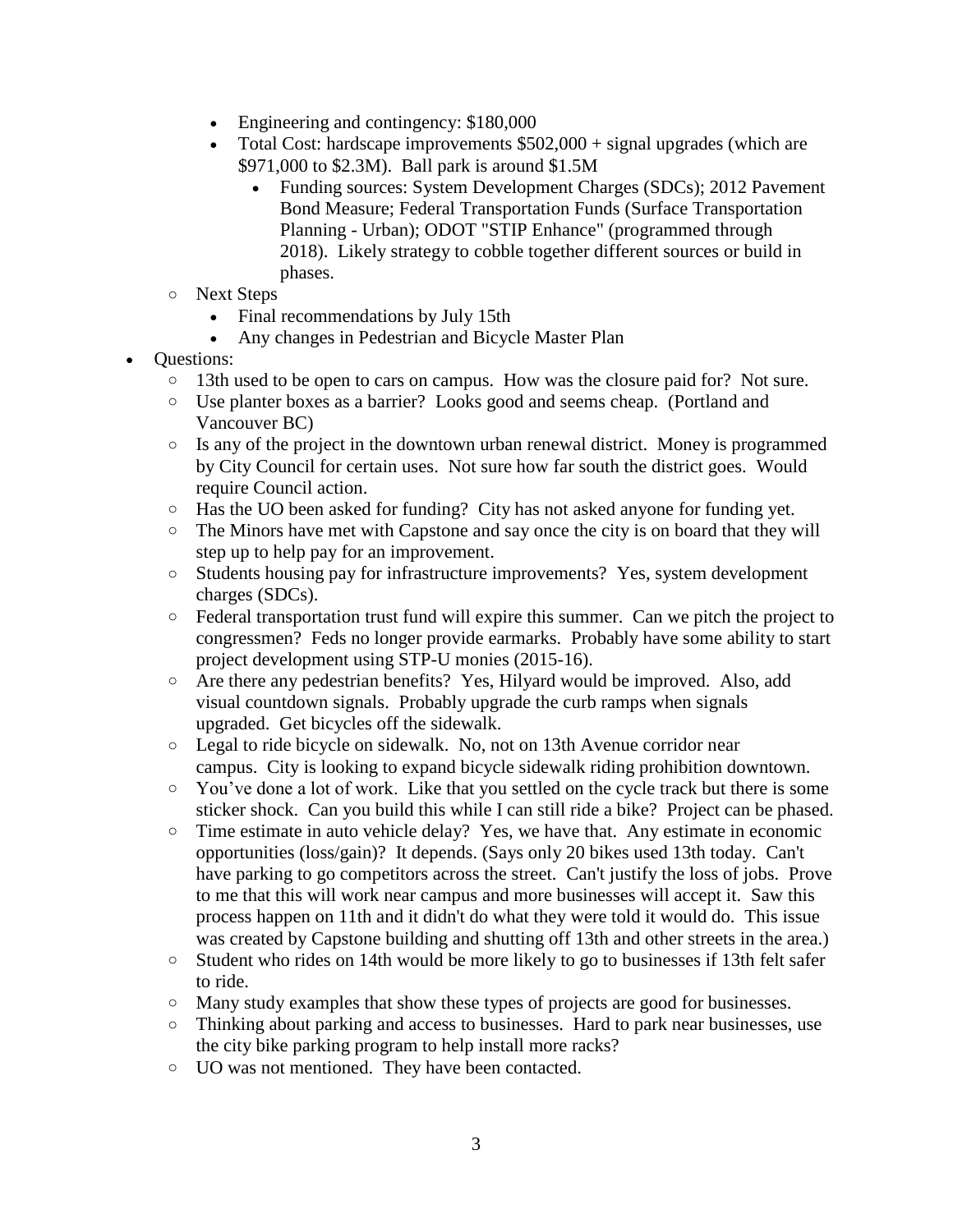- Engineering and contingency: \$180,000
- Total Cost: hardscape improvements \$502,000 + signal upgrades (which are \$971,000 to \$2.3M). Ball park is around \$1.5M
	- Funding sources: System Development Charges (SDCs); 2012 Pavement Bond Measure; Federal Transportation Funds (Surface Transportation Planning - Urban); ODOT "STIP Enhance" (programmed through 2018). Likely strategy to cobble together different sources or build in phases.
- o Next Steps
	- Final recommendations by July 15th
	- Any changes in Pedestrian and Bicycle Master Plan
- Questions:
	- o 13th used to be open to cars on campus. How was the closure paid for? Not sure.
	- o Use planter boxes as a barrier? Looks good and seems cheap. (Portland and Vancouver BC)
	- o Is any of the project in the downtown urban renewal district. Money is programmed by City Council for certain uses. Not sure how far south the district goes. Would require Council action.
	- o Has the UO been asked for funding? City has not asked anyone for funding yet.
	- o The Minors have met with Capstone and say once the city is on board that they will step up to help pay for an improvement.
	- o Students housing pay for infrastructure improvements? Yes, system development charges (SDCs).
	- o Federal transportation trust fund will expire this summer. Can we pitch the project to congressmen? Feds no longer provide earmarks. Probably have some ability to start project development using STP-U monies (2015-16).
	- o Are there any pedestrian benefits? Yes, Hilyard would be improved. Also, add visual countdown signals. Probably upgrade the curb ramps when signals upgraded. Get bicycles off the sidewalk.
	- o Legal to ride bicycle on sidewalk. No, not on 13th Avenue corridor near campus. City is looking to expand bicycle sidewalk riding prohibition downtown.
	- o You've done a lot of work. Like that you settled on the cycle track but there is some sticker shock. Can you build this while I can still ride a bike? Project can be phased.
	- o Time estimate in auto vehicle delay? Yes, we have that. Any estimate in economic opportunities (loss/gain)? It depends. (Says only 20 bikes used 13th today. Can't have parking to go competitors across the street. Can't justify the loss of jobs. Prove to me that this will work near campus and more businesses will accept it. Saw this process happen on 11th and it didn't do what they were told it would do. This issue was created by Capstone building and shutting off 13th and other streets in the area.)
	- o Student who rides on 14th would be more likely to go to businesses if 13th felt safer to ride.
	- o Many study examples that show these types of projects are good for businesses.
	- o Thinking about parking and access to businesses. Hard to park near businesses, use the city bike parking program to help install more racks?
	- o UO was not mentioned. They have been contacted.